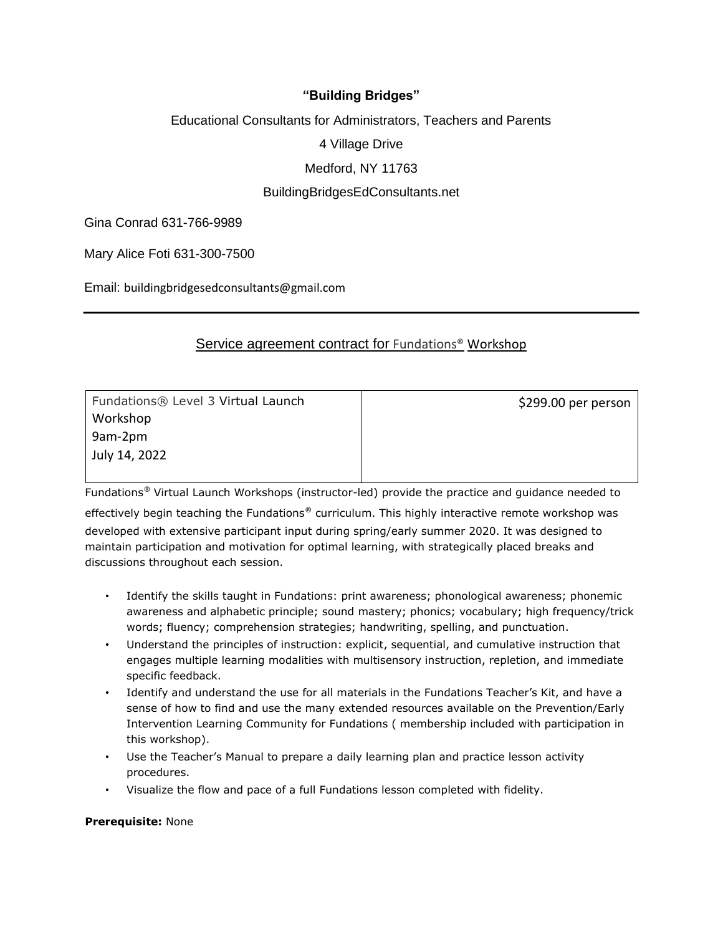# **"Building Bridges"**

## Educational Consultants for Administrators, Teachers and Parents

4 Village Drive

# Medford, NY 11763

# BuildingBridgesEdConsultants.net

Gina Conrad 631-766-9989

Mary Alice Foti 631-300-7500

Email: buildingbridgesedconsultants@gmail.com

# Service agreement contract for Fundations® Workshop

| Fundations® Level 3 Virtual Launch | \$299.00 per person |
|------------------------------------|---------------------|
| Workshop                           |                     |
| 9am-2pm                            |                     |
| July 14, 2022                      |                     |
|                                    |                     |

Fundations® Virtual Launch Workshops (instructor-led) provide the practice and guidance needed to

effectively begin teaching the Fundations® curriculum. This highly interactive remote workshop was developed with extensive participant input during spring/early summer 2020. It was designed to maintain participation and motivation for optimal learning, with strategically placed breaks and discussions throughout each session.

- Identify the skills taught in Fundations: print awareness; phonological awareness; phonemic awareness and alphabetic principle; sound mastery; phonics; vocabulary; high frequency/trick words; fluency; comprehension strategies; handwriting, spelling, and punctuation.
- Understand the principles of instruction: explicit, sequential, and cumulative instruction that engages multiple learning modalities with multisensory instruction, repletion, and immediate specific feedback.
- Identify and understand the use for all materials in the Fundations Teacher's Kit, and have a sense of how to find and use the many extended resources available on the Prevention/Early Intervention Learning Community for Fundations ( membership included with participation in this workshop).
- Use the Teacher's Manual to prepare a daily learning plan and practice lesson activity procedures.
- Visualize the flow and pace of a full Fundations lesson completed with fidelity.

#### **Prerequisite:** None